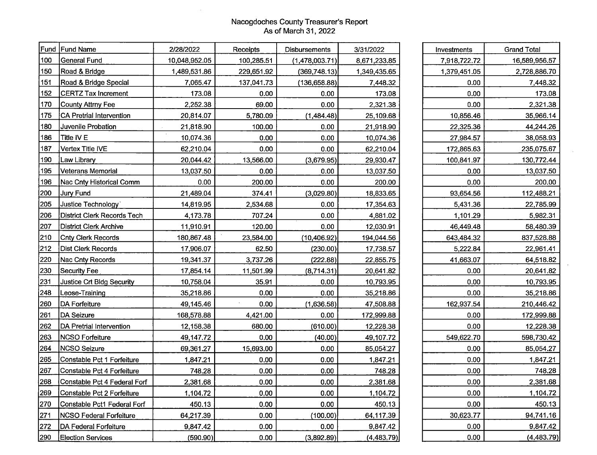## Nacogdoches County Treasurer's Report As of March 31, 2022

| Fund | <b>Fund Name</b>                    | 2/28/2022     | Receipts   | Disbursements  | 3/31/2022    |
|------|-------------------------------------|---------------|------------|----------------|--------------|
| 100  | General Fund                        | 10,048,952.05 | 100,285.51 | (1,478,003.71) |              |
| 150  | Road & Bridge                       | 1,489,531.86  | 229,651.92 | (369, 748.13)  | 1,349,435.65 |
| 151  | Road & Bridge Special               | 7,065.47      | 137,041.73 | (136, 658.88)  | 7,448.32     |
| 152  | <b>CERTZ Tax Increment</b>          | 173.08        | 0.00       | 0.00           | 173.08       |
| 170  | <b>County Attrny Fee</b>            | 2,252.38      | 69.00      | 0.00           | 2,321.38     |
| 175  | CA Pretrial Intervention            | 20,814.07     | 5,780.09   | (1,484.48)     | 25,109.68    |
| 180  | Juvenile Probation                  | 21,818.90     | 100.00     | 0.00           | 21,918.90    |
| 186  | Title IV E                          | 10,074.36     | 0.00       | 0.00           | 10,074.36    |
| 187  | Vertex Title IVE                    | 62,210.04     | 0.00       | 0.00           | 62,210.04    |
| 190  | Law Library                         | 20,044.42     | 13,566.00  | (3,679.95)     | 29,930.47    |
| 195  | <b>Veterans Memorial</b>            | 13,037.50     | 0.00       | 0.00           | 13,037.50    |
| 196  | Nac Cnty Historical Comm            | 0.00          | 200.00     | 0.00           | 200.00       |
| 200  | <b>Jury Fund</b>                    | 21,489.04     | 374.41     | (3,029.80)     | 18,833.65    |
| 205  | Justice Technology                  | 14,819.95     | 2,534.68   | 0.00           | 17,354.63    |
| 206  | District Clerk Records Tech         | 4,173.78      | 707.24     | 0.00           | 4,881.02     |
| 207  | <b>District Clerk Archive</b>       | 11,910.91     | 120.00     | 0.00           | 12,030.91    |
| 210  | <b>Cnty Clerk Records</b>           | 180,867.48    | 23,584.00  | (10, 406.92)   | 194,044.56   |
| 212  | Dist Clerk Records                  | 17,906.07     | 62.50      | (230.00)       | 17,738.57    |
| 220  | <b>Nac Cnty Records</b>             | 19,341.37     | 3,737.26   | (222.88)       | 22,855.75    |
| 230  | <b>Security Fee</b>                 | 17,854.14     | 11,501.99  | (8,714.31)     | 20,641.82    |
| 231  | Justice Crt Bldg Security           | 10,758.04     | 35.91      | 0.00           | 10,793.95    |
| 248  | Leose-Training                      | 35,218.86     | 0.00       | 0.00           | 35,218.86    |
| 260  | DA Forfeiture                       | 49,145.46     | 0.00       | (1,636.58)     | 47,508.88    |
| 261  | <b>DA Seizure</b>                   | 168,578.88    | 4,421.00   | 0.00           | 172,999.88   |
| 262  | DA Pretrial Intervention            | 12,158.38     | 680.00     | (610.00)       | 12,228.38    |
| 263  | <b>NCSO Forfeiture</b>              | 49,147.72     | 0.00       | (40.00)        | 49,107.72    |
| 264  | <b>NCSO Seizure</b>                 | 69,361.27     | 15,693.00  | 0.00           | 85,054.27    |
| 265  | Constable Pct 1 Forfeiture          | 1,847.21      | 0.00       | 0.00           | 1,847.21     |
| 267  | Constable Pct 4 Forfeiture          | 748.28        | 0.00       | 0.00           | 748.28       |
| 268  | <b>Constable Pct 4 Federal Forf</b> | 2,381.68      | 0.00       | 0.00           | 2,381.68     |
| 269  | Constable Pct 2 Forfeiture          | 1,104.72      | 0.00       | 0.00           | 1,104.72     |
| 270  | Constable Pct1 Federal Forf         | 450.13        | 0.00       | 0.00           | 450.13       |
| 271  | <b>NCSO Federal Forfeiture</b>      | 64,217.39     | 0.00       | (100.00)       | 64,117.39    |
| 272  | DA Federal Forfeiture               | 9,847.42      | 0.00       | 0.00           | 9,847.42     |
| 290  | <b>Election Services</b>            | (590.90)      | 0.00       | (3,892.89)     | (4, 483.79)  |

 $\sim$ 

| Investments  | <b>Grand Total</b> |  |  |  |
|--------------|--------------------|--|--|--|
| 7,918,722.72 | 16,589,956.57      |  |  |  |
| 1,379,451.05 | 2,728,886.70       |  |  |  |
| 0.00         | 7,448.32           |  |  |  |
| 0.00         | 173.08             |  |  |  |
| 0.00         | 2,321.38           |  |  |  |
| 10,856.46    | 35,966.14          |  |  |  |
| 22,325.36    | 44,244.26          |  |  |  |
| 27,984.57    | 38,058.93          |  |  |  |
| 172,865.63   | 235,075.67         |  |  |  |
| 100,841.97   | 130,772.44         |  |  |  |
| 0.00         | 13,037.50          |  |  |  |
| 0.00         | 200.00             |  |  |  |
| 93,654.56    | 112,488.21         |  |  |  |
| 5,431.36     | 22,785.99          |  |  |  |
| 1,101.29     | 5,982.31           |  |  |  |
| 46,449.48    | 58,480.39          |  |  |  |
| 643,484.32   | 837,528.88         |  |  |  |
| 5,222.84     | 22,961.41          |  |  |  |
| 41,663.07    | 64,518.82          |  |  |  |
| 0.00         | 20,641.82          |  |  |  |
| 0.00         | 10,793.95          |  |  |  |
| 0.00         | 35,218.86          |  |  |  |
| 162,937.54   | 210,446.42         |  |  |  |
| 0.00         | 172,999.88         |  |  |  |
| 0.00         | <u>12,228.38</u>   |  |  |  |
| 549,622.70   | 598,730.42         |  |  |  |
| 0.00         | 85,054 <u>.27</u>  |  |  |  |
| 0.00         | 1,847.21           |  |  |  |
| 0.00         | 748.28             |  |  |  |
| 0.00         | <u>2,381.68</u>    |  |  |  |
| 0.00         | 1,104.72           |  |  |  |
| 0.00         | 450.13             |  |  |  |
| 30,623.77    | 94,741.16          |  |  |  |
| 0.00         | 9,847.42           |  |  |  |
| 0.00         | (4,483.79)         |  |  |  |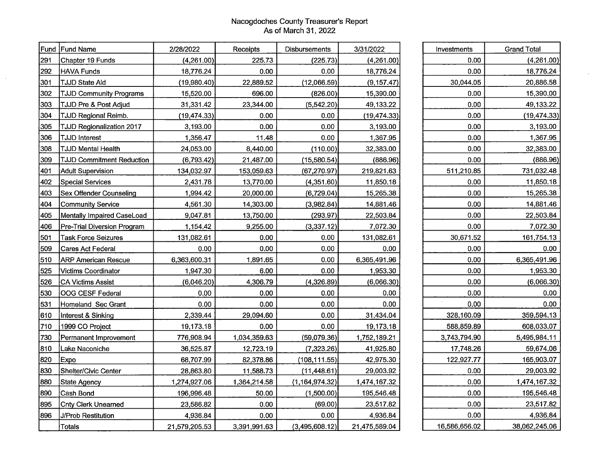## Nacogdoches County Treasurer's Report As of March 31, 2022

| Fund | Fund Name                        | 2/28/2022     | Receipts     | Disbursements    |               |
|------|----------------------------------|---------------|--------------|------------------|---------------|
| 291  | Chapter 19 Funds                 | (4,261.00)    | 225.73       | (225.73)         | (4,261.00)    |
| 292  | <b>HAVA Funds</b>                | 18,776.24     | 0.00         | 0.00             | 18,776.24     |
| 301  | <b>TJJD State Aid</b>            | (19,980.40)   | 22,889.52    | (12,066.59)      | (9, 157.47)   |
| 302  | <b>TJJD Community Programs</b>   | 15,520.00     | 696.00       | (826.00)         | 15,390.00     |
| 303  | TJJD Pre & Post Adjud            | 31,331.42     | 23,344.00    | (5,542.20)       | 49,133.22     |
| 304  | <b>TJJD Regional Reimb.</b>      | (19, 474.33)  | 0.00         | 0.00             | (19, 474.33)  |
| 305  | TJJD Regionalization 2017        | 3,193.00      | 0.00         | 0.00             | 3,193.00      |
| 306  | TJJD Interest                    | 1,356.47      | 11.48        | 0.00             | 1,367.95      |
| 308  | <b>TJJD Mental Health</b>        | 24,053.00     | 8,440.00     | (110.00)         | 32,383.00     |
| 309  | <b>TJJD Commitment Reduction</b> | (6, 793.42)   | 21,487.00    | (15,580.54)      | (886.96)      |
| 401  | <b>Adult Supervision</b>         | 134,032.97    | 153,059.63   | (67, 270.97)     | 219,821.63    |
| 402  | <b>Special Services</b>          | 2,431.78      | 13,770.00    | (4,351.60)       | 11,850.18     |
| 403  | <b>Sex Offender Counseling</b>   | 1,994.42      | 20,000.00    | (6,729.04)       | 15,265.38     |
| 404  | <b>Community Service</b>         | 4,561.30      | 14,303.00    | (3,982.84)       | 14,881.46     |
| 405  | Mentally Impaired CaseLoad       | 9,047.81      | 13,750.00    | (293.97)         | 22,503.84     |
| 406  | Pre-Trial Diversion Program      | 1,154.42      | 9,255.00     | (3,337.12)       | 7,072.30      |
| 501  | <b>Task Force Seizures</b>       | 131,082.61    | 0.00         | 0.00             | 131,082.61    |
| 509  | Cares Act Federal                | 0.00          | 0.00         | 0.00             | 0.00          |
| 510  | <b>ARP American Rescue</b>       | 6,363,600.31  | 1,891.65     | 0.00             | 6,365,491.96  |
| 525  | Victims Coordinator              | 1,947.30      | 6.00         | 0.00             | 1,953.30      |
| 526  | <b>CA Victims Assist</b>         | (6,046.20)    | 4,306.79     | (4,326.89)       | (6,066.30)    |
| 530  | OOG CESF Federal                 | 0.00          | 0.00         | 0.00             | 0.00          |
| 531  | Homeland Sec Grant               | 0.00          | 0.00         | 0.00             | 0.00          |
| 610  | Interest & Sinking               | 2,339.44      | 29,094.60    | 0.00             | 31,434.04     |
| 710  | 1999 CO Project                  | 19,173.18     | 0.00         | 0.00             | 19,173.18     |
| 730  | Permanent Improvement            | 776,908.94    | 1,034,359.63 | (59,079.36)      | 1,752,189.21  |
| 810  | Lake Naconiche                   | 36,525.87     | 12,723.19    | (7,323.26)       | 41,925.80     |
| 820  | Expo                             | 68,707.99     | 82,378.86    | (108, 111.55)    | 42,975.30     |
| 830  | Shelter/Civic Center             | 28,863.80     | 11,588.73    | (11, 448.61)     | 29,003.92     |
| 880  | <b>State Agency</b>              | 1,274,927.06  | 1,364,214.58 | (1, 164, 974.32) | 1,474,167.32  |
| 890  | Cash Bond                        | 196,996.48    | 50.00        | (1,500.00)       | 195,546.48    |
| 895  | <b>Cnty Clerk Unearned</b>       | 23,586.82     | 0.00         | (69.00)          | 23,517.82     |
| 896  | J/Prob Restitution               | 4,936.84      | 0.00         | 0.00             | 4,936.84      |
|      | Totals                           | 21,579,205.53 | 3,391,991.63 | (3,495,608.12)   | 21,475,589.04 |

 $\alpha$ 

| Investments   | <b>Grand Total</b> |  |  |
|---------------|--------------------|--|--|
| 0.00          | (4,261.00)         |  |  |
| 0.00          | 18,776.24          |  |  |
| 30,044.05     | 20,886.58          |  |  |
| 0.00          | 15,390.00          |  |  |
| 0.00          | 49,133.22          |  |  |
| 0.00          | (19, 474.33)       |  |  |
| 0.00          | 3,193.00           |  |  |
| 0.00          | 1,367.95           |  |  |
| 0.00          | 32,383.00          |  |  |
| 0.00          | (886.96)           |  |  |
| 511,210.85    | 731,032.48         |  |  |
| 0.00          | 11,850.18          |  |  |
| 0.00          | 15,265.38          |  |  |
| 0.00          | 14,881.46          |  |  |
| 0.00          | 22,503.84          |  |  |
| 0.00          | 7,072.30           |  |  |
| 30,671.52     | 161,754.13         |  |  |
| 0.00          | 0.00               |  |  |
| 0.00          | 6,365,491.96       |  |  |
| 0.00          | 1,953.30           |  |  |
| 0.00          | (6,066.30)         |  |  |
| 0.00          | 0.00               |  |  |
| 0.00          | 0.00               |  |  |
| 328,160.09    | 359,594.13         |  |  |
| 588,859.89    | 608,033.07         |  |  |
| 3,743,794.90  | 5,495,984.11       |  |  |
| 17,748.26     | 59,674.06          |  |  |
| 122,927.77    | 165,903.07         |  |  |
| 0.00          | 29,003.92          |  |  |
| 0.00          | 1,474,167.32       |  |  |
| 0.00          | 195,546.48         |  |  |
| 0.00          | 23,517.82          |  |  |
| 0.00          | 4,936.84           |  |  |
| 16,586,656.02 | 38,062,245.06      |  |  |

 $\mathcal{L}$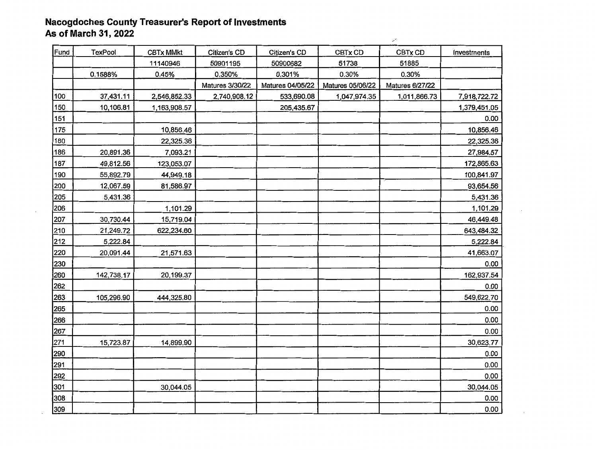## **Nacogdoches County Treasurer's Report of Investments As of March 31, 2022**

| Fund | <b>TexPool</b> | <b>CBTx MMkt</b> | Citizen's CD    | Citizen's CD     | CBTx CD          | CBTx CD         | Investments  |
|------|----------------|------------------|-----------------|------------------|------------------|-----------------|--------------|
|      |                | 11140946         | 50901195        | 50900682         | 51738            | 51885           |              |
|      | 0.1588%        | 0.45%            | 0.350%          | 0.301%           | 0.30%            | 0.30%           |              |
|      |                |                  | Matures 3/30/22 | Matures 04/05/22 | Matures 05/06/22 | Matures 6/27/22 |              |
| 100  | 37,431.11      | 2,546,852.33     | 2,740,908.12    | 533,690.08       | 1,047,974.35     | 1,011,866.73    | 7,918,722.72 |
| 150  | 10,106.81      | 1,163,908.57     |                 | 205,435.67       |                  |                 | 1,379,451.05 |
| 151  |                |                  |                 |                  |                  |                 | 0.00         |
| 175  |                | 10,856.46        |                 |                  |                  |                 | 10,856.46    |
| 180  |                | 22,325.36        |                 |                  |                  |                 | 22,325.36    |
| 186  | 20,891.36      | 7,093.21         |                 |                  |                  |                 | 27,984.57    |
| 187  | 49,812.56      | 123,053.07       |                 |                  |                  |                 | 172,865.63   |
| 190  | 55,892.79      | 44,949.18        |                 |                  |                  |                 | 100,841.97   |
| 200  | 12,067.59      | 81,586.97        |                 |                  |                  |                 | 93,654.56    |
| 205  | 5,431.36       |                  |                 |                  |                  |                 | 5,431.36     |
| 206  |                | 1,101.29         |                 |                  |                  |                 | 1,101.29     |
| 207  | 30,730.44      | 15,719.04        |                 |                  |                  |                 | 46,449.48    |
| 210  | 21,249.72      | 622,234.60       |                 |                  |                  |                 | 643,484.32   |
| 212  | 5,222.84       |                  |                 |                  |                  |                 | 5,222.84     |
| 220  | 20,091.44      | 21,571.63        |                 |                  |                  |                 | 41,663.07    |
| 230  |                |                  |                 |                  |                  |                 | 0.00         |
| 260  | 142,738.17     | 20,199.37        |                 |                  |                  |                 | 162,937.54   |
| 262  |                |                  |                 |                  |                  |                 | 0.00         |
| 263  | 105,296.90     | 444,325.80       |                 |                  |                  |                 | 549,622.70   |
| 265  |                |                  |                 |                  |                  |                 | 0.00         |
| 266  |                |                  |                 |                  |                  |                 | 0.00         |
| 267  |                |                  |                 |                  |                  |                 | 0.00         |
| 271  | 15,723.87      | 14,899.90        |                 |                  |                  |                 | 30,623.77    |
| 290  |                |                  |                 |                  |                  |                 | 0.00         |
| 291  |                |                  |                 |                  |                  |                 | 0.00         |
| 292  |                |                  |                 |                  |                  |                 | 0.00         |
| 301  |                | 30,044.05        |                 |                  |                  |                 | 30,044.05    |
| 308  |                |                  |                 |                  |                  |                 | 0.00         |
| 309  |                |                  |                 |                  |                  |                 | 0.00         |